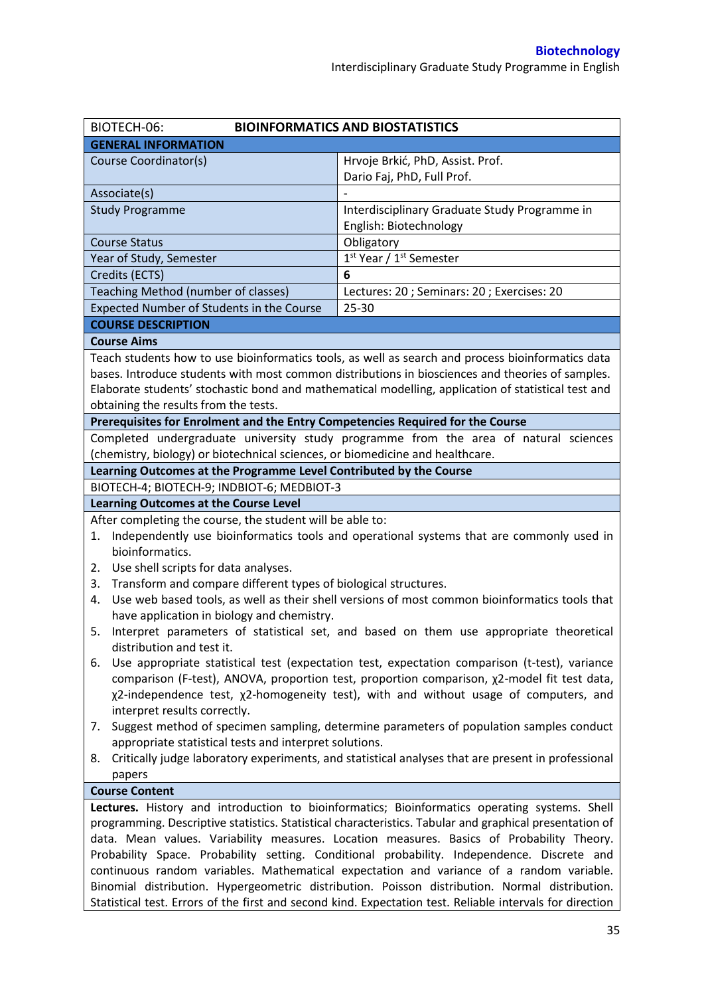| BIOTECH-06:<br><b>BIOINFORMATICS AND BIOSTATISTICS</b>                                                                                                                                                                                                                                                                                                                                                                                                                                                                                                                                                                                                                                                                                                                                        |                                                                                                                                                                                                                                                                                                                                                                                                                                                                                                                                                                                                    |  |  |  |
|-----------------------------------------------------------------------------------------------------------------------------------------------------------------------------------------------------------------------------------------------------------------------------------------------------------------------------------------------------------------------------------------------------------------------------------------------------------------------------------------------------------------------------------------------------------------------------------------------------------------------------------------------------------------------------------------------------------------------------------------------------------------------------------------------|----------------------------------------------------------------------------------------------------------------------------------------------------------------------------------------------------------------------------------------------------------------------------------------------------------------------------------------------------------------------------------------------------------------------------------------------------------------------------------------------------------------------------------------------------------------------------------------------------|--|--|--|
| <b>GENERAL INFORMATION</b>                                                                                                                                                                                                                                                                                                                                                                                                                                                                                                                                                                                                                                                                                                                                                                    |                                                                                                                                                                                                                                                                                                                                                                                                                                                                                                                                                                                                    |  |  |  |
| Course Coordinator(s)                                                                                                                                                                                                                                                                                                                                                                                                                                                                                                                                                                                                                                                                                                                                                                         | Hrvoje Brkić, PhD, Assist. Prof.<br>Dario Faj, PhD, Full Prof.                                                                                                                                                                                                                                                                                                                                                                                                                                                                                                                                     |  |  |  |
| Associate(s)                                                                                                                                                                                                                                                                                                                                                                                                                                                                                                                                                                                                                                                                                                                                                                                  |                                                                                                                                                                                                                                                                                                                                                                                                                                                                                                                                                                                                    |  |  |  |
| <b>Study Programme</b>                                                                                                                                                                                                                                                                                                                                                                                                                                                                                                                                                                                                                                                                                                                                                                        | Interdisciplinary Graduate Study Programme in<br>English: Biotechnology                                                                                                                                                                                                                                                                                                                                                                                                                                                                                                                            |  |  |  |
| <b>Course Status</b>                                                                                                                                                                                                                                                                                                                                                                                                                                                                                                                                                                                                                                                                                                                                                                          | Obligatory                                                                                                                                                                                                                                                                                                                                                                                                                                                                                                                                                                                         |  |  |  |
| Year of Study, Semester                                                                                                                                                                                                                                                                                                                                                                                                                                                                                                                                                                                                                                                                                                                                                                       | 1 <sup>st</sup> Year / 1 <sup>st</sup> Semester                                                                                                                                                                                                                                                                                                                                                                                                                                                                                                                                                    |  |  |  |
| Credits (ECTS)                                                                                                                                                                                                                                                                                                                                                                                                                                                                                                                                                                                                                                                                                                                                                                                | 6                                                                                                                                                                                                                                                                                                                                                                                                                                                                                                                                                                                                  |  |  |  |
| Teaching Method (number of classes)                                                                                                                                                                                                                                                                                                                                                                                                                                                                                                                                                                                                                                                                                                                                                           | Lectures: 20 ; Seminars: 20 ; Exercises: 20                                                                                                                                                                                                                                                                                                                                                                                                                                                                                                                                                        |  |  |  |
| Expected Number of Students in the Course                                                                                                                                                                                                                                                                                                                                                                                                                                                                                                                                                                                                                                                                                                                                                     | $25 - 30$                                                                                                                                                                                                                                                                                                                                                                                                                                                                                                                                                                                          |  |  |  |
| <b>COURSE DESCRIPTION</b>                                                                                                                                                                                                                                                                                                                                                                                                                                                                                                                                                                                                                                                                                                                                                                     |                                                                                                                                                                                                                                                                                                                                                                                                                                                                                                                                                                                                    |  |  |  |
| <b>Course Aims</b>                                                                                                                                                                                                                                                                                                                                                                                                                                                                                                                                                                                                                                                                                                                                                                            |                                                                                                                                                                                                                                                                                                                                                                                                                                                                                                                                                                                                    |  |  |  |
| obtaining the results from the tests.                                                                                                                                                                                                                                                                                                                                                                                                                                                                                                                                                                                                                                                                                                                                                         | Teach students how to use bioinformatics tools, as well as search and process bioinformatics data<br>bases. Introduce students with most common distributions in biosciences and theories of samples.<br>Elaborate students' stochastic bond and mathematical modelling, application of statistical test and                                                                                                                                                                                                                                                                                       |  |  |  |
| Prerequisites for Enrolment and the Entry Competencies Required for the Course                                                                                                                                                                                                                                                                                                                                                                                                                                                                                                                                                                                                                                                                                                                |                                                                                                                                                                                                                                                                                                                                                                                                                                                                                                                                                                                                    |  |  |  |
| Completed undergraduate university study programme from the area of natural sciences<br>(chemistry, biology) or biotechnical sciences, or biomedicine and healthcare.                                                                                                                                                                                                                                                                                                                                                                                                                                                                                                                                                                                                                         |                                                                                                                                                                                                                                                                                                                                                                                                                                                                                                                                                                                                    |  |  |  |
| Learning Outcomes at the Programme Level Contributed by the Course                                                                                                                                                                                                                                                                                                                                                                                                                                                                                                                                                                                                                                                                                                                            |                                                                                                                                                                                                                                                                                                                                                                                                                                                                                                                                                                                                    |  |  |  |
| BIOTECH-4; BIOTECH-9; INDBIOT-6; MEDBIOT-3                                                                                                                                                                                                                                                                                                                                                                                                                                                                                                                                                                                                                                                                                                                                                    |                                                                                                                                                                                                                                                                                                                                                                                                                                                                                                                                                                                                    |  |  |  |
| <b>Learning Outcomes at the Course Level</b>                                                                                                                                                                                                                                                                                                                                                                                                                                                                                                                                                                                                                                                                                                                                                  |                                                                                                                                                                                                                                                                                                                                                                                                                                                                                                                                                                                                    |  |  |  |
| After completing the course, the student will be able to:<br>Independently use bioinformatics tools and operational systems that are commonly used in<br>1.<br>bioinformatics.<br>Use shell scripts for data analyses.<br>2.<br>Transform and compare different types of biological structures.<br>3.<br>Use web based tools, as well as their shell versions of most common bioinformatics tools that<br>4.<br>have application in biology and chemistry.<br>Interpret parameters of statistical set, and based on them use appropriate theoretical<br>5.<br>distribution and test it.<br>Use appropriate statistical test (expectation test, expectation comparison (t-test), variance<br>6.<br>comparison (F-test), ANOVA, proportion test, proportion comparison, x2-model fit test data, |                                                                                                                                                                                                                                                                                                                                                                                                                                                                                                                                                                                                    |  |  |  |
| χ2-independence test, χ2-homogeneity test), with and without usage of computers, and<br>interpret results correctly.<br>Suggest method of specimen sampling, determine parameters of population samples conduct<br>7.                                                                                                                                                                                                                                                                                                                                                                                                                                                                                                                                                                         |                                                                                                                                                                                                                                                                                                                                                                                                                                                                                                                                                                                                    |  |  |  |
| appropriate statistical tests and interpret solutions.<br>8.                                                                                                                                                                                                                                                                                                                                                                                                                                                                                                                                                                                                                                                                                                                                  | Critically judge laboratory experiments, and statistical analyses that are present in professional                                                                                                                                                                                                                                                                                                                                                                                                                                                                                                 |  |  |  |
| papers                                                                                                                                                                                                                                                                                                                                                                                                                                                                                                                                                                                                                                                                                                                                                                                        |                                                                                                                                                                                                                                                                                                                                                                                                                                                                                                                                                                                                    |  |  |  |
| <b>Course Content</b>                                                                                                                                                                                                                                                                                                                                                                                                                                                                                                                                                                                                                                                                                                                                                                         | Lectures. History and introduction to bioinformatics; Bioinformatics operating systems. Shell<br>programming. Descriptive statistics. Statistical characteristics. Tabular and graphical presentation of<br>data. Mean values. Variability measures. Location measures. Basics of Probability Theory.<br>Probability Space. Probability setting. Conditional probability. Independence. Discrete and<br>continuous random variables. Mathematical expectation and variance of a random variable.<br>Binomial distribution. Hypergeometric distribution. Poisson distribution. Normal distribution. |  |  |  |
|                                                                                                                                                                                                                                                                                                                                                                                                                                                                                                                                                                                                                                                                                                                                                                                               | Statistical test. Errors of the first and second kind. Expectation test. Reliable intervals for direction                                                                                                                                                                                                                                                                                                                                                                                                                                                                                          |  |  |  |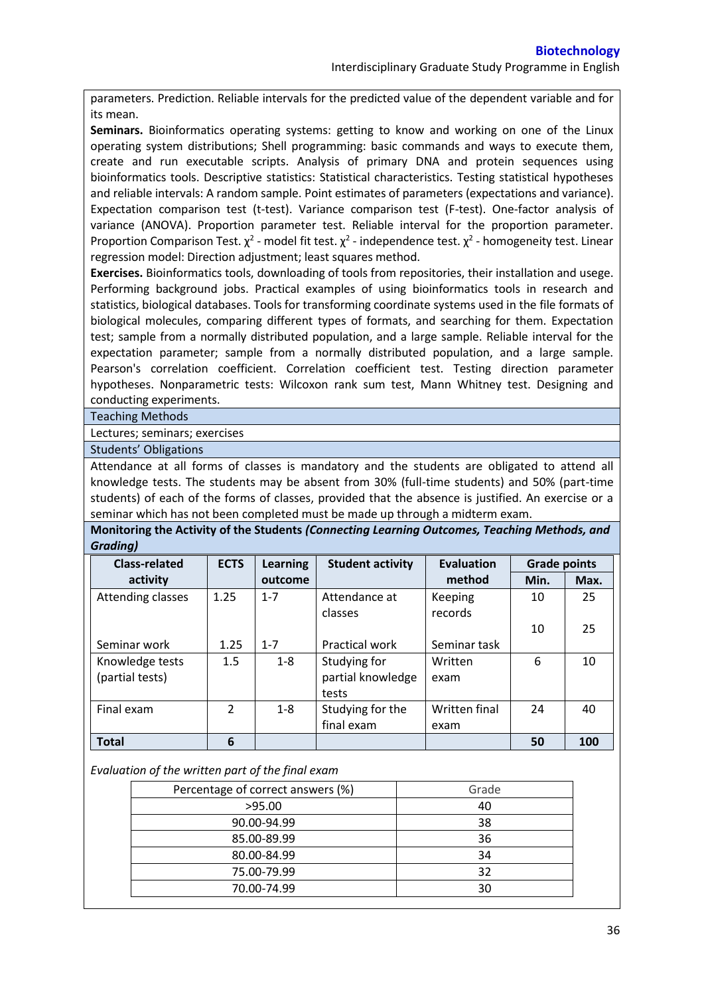parameters. Prediction. Reliable intervals for the predicted value of the dependent variable and for its mean.

**Seminars.** Bioinformatics operating systems: getting to know and working on one of the Linux operating system distributions; Shell programming: basic commands and ways to execute them, create and run executable scripts. Analysis of primary DNA and protein sequences using bioinformatics tools. Descriptive statistics: Statistical characteristics. Testing statistical hypotheses and reliable intervals: A random sample. Point estimates of parameters (expectations and variance). Expectation comparison test (t-test). Variance comparison test (F-test). One-factor analysis of variance (ANOVA). Proportion parameter test. Reliable interval for the proportion parameter. Proportion Comparison Test.  $\chi^2$  - model fit test.  $\chi^2$  - independence test.  $\chi^2$  - homogeneity test. Linear regression model: Direction adjustment; least squares method.

**Exercises.** Bioinformatics tools, downloading of tools from repositories, their installation and usege. Performing background jobs. Practical examples of using bioinformatics tools in research and statistics, biological databases. Tools for transforming coordinate systems used in the file formats of biological molecules, comparing different types of formats, and searching for them. Expectation test; sample from a normally distributed population, and a large sample. Reliable interval for the expectation parameter; sample from a normally distributed population, and a large sample. Pearson's correlation coefficient. Correlation coefficient test. Testing direction parameter hypotheses. Nonparametric tests: Wilcoxon rank sum test, Mann Whitney test. Designing and conducting experiments.

Teaching Methods

Lectures; seminars; exercises

Students' Obligations

Attendance at all forms of classes is mandatory and the students are obligated to attend all knowledge tests. The students may be absent from 30% (full-time students) and 50% (part-time students) of each of the forms of classes, provided that the absence is justified. An exercise or a seminar which has not been completed must be made up through a midterm exam.

**Monitoring the Activity of the Students** *(Connecting Learning Outcomes, Teaching Methods, and Grading)*

| <b>Class-related</b> | <b>ECTS</b>   | <b>Learning</b> | <b>Student activity</b> | <b>Evaluation</b> | <b>Grade points</b> |      |
|----------------------|---------------|-----------------|-------------------------|-------------------|---------------------|------|
| activity             |               | outcome         |                         | method            | Min.                | Max. |
| Attending classes    | 1.25          | $1 - 7$         | Attendance at           | Keeping           | 10                  | 25   |
|                      |               |                 | classes                 | records           |                     |      |
|                      |               |                 |                         |                   | 10                  | 25   |
| Seminar work         | 1.25          | $1 - 7$         | Practical work          | Seminar task      |                     |      |
| Knowledge tests      | 1.5           | $1 - 8$         | Studying for            | Written           | 6                   | 10   |
| (partial tests)      |               |                 | partial knowledge       | exam              |                     |      |
|                      |               |                 | tests                   |                   |                     |      |
| Final exam           | $\mathcal{P}$ | $1 - 8$         | Studying for the        | Written final     | 24                  | 40   |
|                      |               |                 | final exam              | exam              |                     |      |
| <b>Total</b>         | 6             |                 |                         |                   | 50                  | 100  |

*Evaluation of the written part of the final exam*

| Percentage of correct answers (%) | Grade |
|-----------------------------------|-------|
| >95.00                            | 40    |
| 90.00-94.99                       | 38    |
| 85.00-89.99                       | 36    |
| 80.00-84.99                       | 34    |
| 75.00-79.99                       | 32    |
| 70.00-74.99                       | 30    |
|                                   |       |